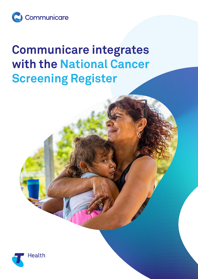

## **Communicare integrates with the National Cancer Screening Register**